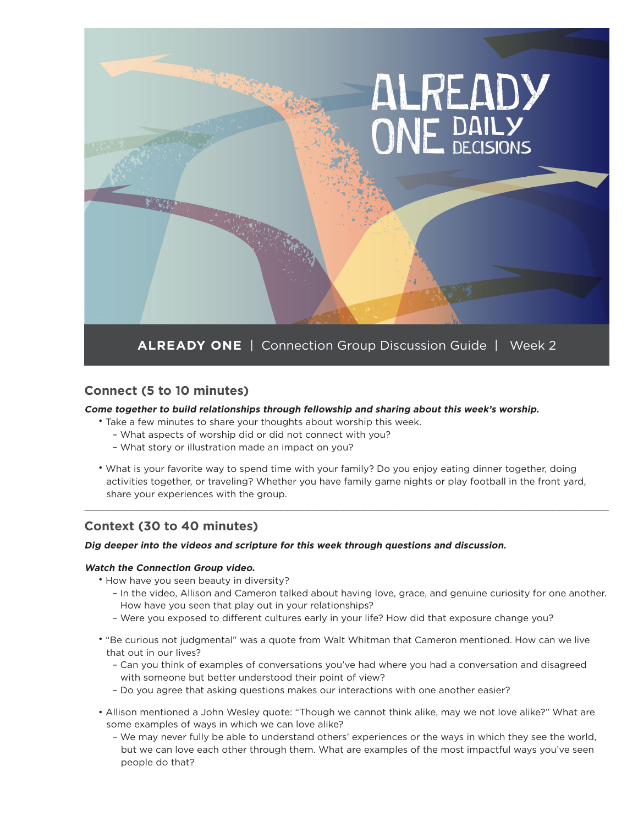

### **Connect (5 to 10 minutes)**

#### **Come together to build relationships through fellowship and sharing about this week's worship.**

- Take a few minutes to share your thoughts about worship this week.
	- What aspects of worship did or did not connect with you?
	- What story or illustration made an impact on you?
- What is your favorite way to spend time with your family? Do you enjoy eating dinner together, doing activities together, or traveling? Whether you have family game nights or play football in the front yard, share your experiences with the group.

\_\_\_\_\_\_\_\_\_\_\_\_\_\_\_\_\_\_\_\_\_\_\_\_\_\_\_\_\_\_\_\_\_\_\_\_\_\_\_\_\_\_\_\_\_\_\_\_\_\_\_\_\_\_\_\_\_\_\_\_\_\_\_\_\_\_\_\_\_\_\_\_\_\_\_\_\_\_\_\_\_\_\_\_\_\_\_\_\_\_\_\_\_\_\_\_\_\_\_\_\_\_\_\_\_\_\_\_\_\_\_\_\_\_\_\_\_\_\_\_\_\_\_\_\_\_\_\_\_\_\_\_\_\_\_\_\_\_\_\_\_\_\_\_\_\_\_\_\_\_\_\_\_\_\_\_\_\_\_\_\_\_\_\_\_\_\_\_

### **Context (30 to 40 minutes)**

#### **Dig deeper into the videos and scripture for this week through questions and discussion.**

#### **Watch the Connection Group video.**

• How have you seen beauty in diversity?

- In the video, Allison and Cameron talked about having love, grace, and genuine curiosity for one another. How have you seen that play out in your relationships?
- Were you exposed to different cultures early in your life? How did that exposure change you?
- "Be curious not judgmental" was a quote from Walt Whitman that Cameron mentioned. How can we live that out in our lives?
	- Can you think of examples of conversations you've had where you had a conversation and disagreed with someone but better understood their point of view?
	- Do you agree that asking questions makes our interactions with one another easier?
- Allison mentioned a John Wesley quote: "Though we cannot think alike, may we not love alike?" What are some examples of ways in which we can love alike?
	- We may never fully be able to understand others' experiences or the ways in which they see the world, but we can love each other through them. What are examples of the most impactful ways you've seen people do that?